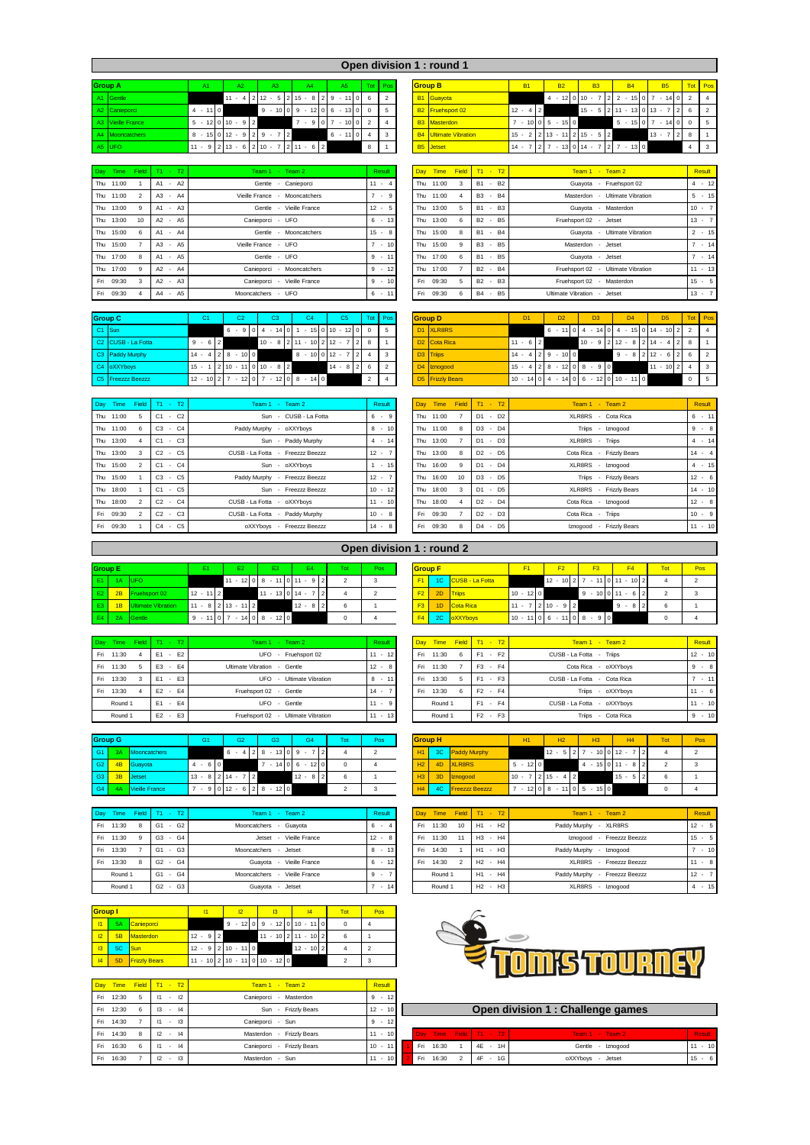|                   | Open division 1 : round 1 |                       |                                |                                                     |          |            |  |  |                              |                   |                                             |           |                          |                                                                                    |                 |  |
|-------------------|---------------------------|-----------------------|--------------------------------|-----------------------------------------------------|----------|------------|--|--|------------------------------|-------------------|---------------------------------------------|-----------|--------------------------|------------------------------------------------------------------------------------|-----------------|--|
| <b>Group A</b>    | A1                        | A2                    | A3                             | A4                                                  | A5       | Tot Pos    |  |  | <b>Group B</b>               | <b>B1</b>         | <b>B2</b>                                   | <b>B3</b> | <b>B4</b>                | <b>B5</b>                                                                          | Tot Pos         |  |
| A1 Gentle         |                           |                       |                                | $11 - 4212 - 5215 - 829 - 1106$                     |          |            |  |  | B1 Guayota                   |                   |                                             |           |                          | $4 \cdot 12 \begin{bmatrix} 0 & 10 \\ 7 & 7 & 2 \end{bmatrix}$ 2 - 15 0 7 - 14 0 2 |                 |  |
| A2 Canieporci     | $4 - 110$                 |                       |                                | $9 - 101019 - 121016 - 131010$                      |          |            |  |  | B2 Fruehsport 02             | 4 2<br>$12 -$     |                                             |           |                          | $15 - 5$   2  11 - 13  0  13 - 7  2                                                | 6 2             |  |
| A3 Vieille France |                           | $5 - 12$ 0 $10 - 9$ 2 |                                | $7 -$<br>9107                                       | $-1002$  |            |  |  | <b>B3</b> Masterdon          |                   | $7 - 10005 - 150$                           |           |                          | $5 - 15 \cdot 0 \cdot 7 - 14 \cdot 0 \cdot 0 \cdot 5$                              |                 |  |
| A4 Mooncatchers   |                           |                       | $8 - 15$ 0 $12 - 9$ 2 9 $-7$ 2 |                                                     | $6 - 11$ | $0\vert 4$ |  |  | <b>B4</b> Ultimate Vibration |                   | $15 - 2$   2   13 $-$ 11   2   15 $-$ 5   2 |           |                          | $13 - 7$                                                                           | $\frac{1}{2}$ 8 |  |
| A5 UFO            |                           |                       |                                | $11 - 9$   2   13 - 6   2   10 - 7   2   11 - 6   2 |          | 8          |  |  | <b>B5</b> Jetset             | 7   2  <br>$14 -$ |                                             |           | $7 - 130114 - 727 - 130$ |                                                                                    |                 |  |

| A2 Canieporci          |    |         |        | $4 - 110$                       |  |  |                 |                     |   |              |  | $9 - 10009 - 1206 - 13000$ |  | - 5      |     | B2 Fruehsport 02             |   |           |                |           | $12 - 4$   2 |                                               |  |                         |  |                      |  |        |     | $15 - 5$   2   11 $-$ 13   0   13 $-$ 7   2   6   2   |             |  |
|------------------------|----|---------|--------|---------------------------------|--|--|-----------------|---------------------|---|--------------|--|----------------------------|--|----------|-----|------------------------------|---|-----------|----------------|-----------|--------------|-----------------------------------------------|--|-------------------------|--|----------------------|--|--------|-----|-------------------------------------------------------|-------------|--|
| A3 Vieille France      |    |         |        | $5 - 12$ 0 10 $- 9$ 2           |  |  |                 |                     |   |              |  | $7 - 91017 - 101012$       |  |          |     | <b>B3</b> Masterdon          |   |           |                |           |              | $7 - 101015 - 1510$                           |  |                         |  |                      |  |        |     | $5 - 15 \cdot 0 \cdot 7 - 14 \cdot 0 \cdot 0 \cdot 5$ |             |  |
| A4 Mooncatchers        |    |         |        | 8 - 15   0   12 - 9   2   9 - 7 |  |  |                 |                     | 2 |              |  | $6 - 110$                  |  | 3        |     | <b>B4</b> Ultimate Vibration |   |           |                |           |              | $15 - 2$   $2$   13 $-$ 11   2   15 $-$ 5   2 |  |                         |  |                      |  | $13 -$ | 728 |                                                       |             |  |
| A5 UFO                 |    |         |        | $11 - 9213 - 6210 - 7211 - 62$  |  |  |                 |                     |   |              |  |                            |  |          |     | <b>B5</b> Jetset             |   |           |                |           |              | $14 - 7$   2   7 - 13   0   14 - 7   2        |  |                         |  | $7 - 1300$           |  |        |     |                                                       |             |  |
|                        |    |         |        |                                 |  |  |                 |                     |   |              |  |                            |  |          |     |                              |   |           |                |           |              |                                               |  |                         |  |                      |  |        |     |                                                       |             |  |
| Dav Time Field T1 - T2 |    |         |        |                                 |  |  | Team 1 - Team 2 |                     |   |              |  |                            |  | Result   |     | Day Time Field T1 - T2       |   |           |                |           |              |                                               |  | $Team 1 - Team 2$       |  |                      |  |        |     |                                                       | Result      |  |
| Thu 11:00              | A1 |         | $- A2$ |                                 |  |  |                 | Gentle - Canieporci |   |              |  |                            |  | $11 - 4$ |     | Thu 11:00                    | 3 | <b>B1</b> | $\sim$         | <b>B2</b> |              |                                               |  | Guayota - Fruehsport 02 |  |                      |  |        |     |                                                       | $4 \div 12$ |  |
| Thu 11:00              |    | A3 - A4 |        |                                 |  |  | Vieille France  |                     |   | Mooncatchers |  |                            |  | $4 - 9$  | Thu | 11:00                        | Δ |           | B <sub>3</sub> | $-B4$     |              |                                               |  | Masterdon               |  | - Ultimate Vibration |  |        |     |                                                       | $5 - 15$    |  |

| Thu 11:00                    | A <sub>2</sub><br>A1<br>$\sim$ | Canieporci<br>Gentle<br>$\overline{\phantom{a}}$ | $11 - 4$ | Thu 11:00    |    | <b>B2</b><br>B <sub>1</sub><br>$\sim$ | Guayota - Fruehsport 02            | $4 \div 12$ |
|------------------------------|--------------------------------|--------------------------------------------------|----------|--------------|----|---------------------------------------|------------------------------------|-------------|
| Thu 11:00<br>$\mathcal{P}$   | A3<br>A4<br>. .                | Vieille France<br>Mooncatchers                   | $7 - 9$  | Thu 11:00    |    | <b>B4</b><br><b>B3</b><br>$\sim$      | - Ultimate Vibration<br>Masterdon  | $5 + 15$    |
| Thu 13:00                    | A1 - A3                        | Gentle - Vieille France                          | $12 - 5$ | 13:00<br>Thu |    | $-B3$<br><b>B1</b>                    | Guayota - Masterdon                | $10 - 7$    |
| Thu 13:00<br>10 <sup>1</sup> | A2 - A5                        | Canieporci - UFO                                 | $6 - 13$ | Thu 13:00    | 6  | - B5<br><b>B2</b>                     | Fruehsport 02 - Jetset             | $13 - 7$    |
| Thu 15:00                    | A1 - A4                        | Mooncatchers<br>Gentle                           | $15 - 8$ | 15:00<br>Thu | 8  | $-B4$<br><b>B1</b>                    | Guavota - Ultimate Vibration       | $2 - 15$    |
| Thu 15:00                    | A3<br>$- A5$                   | Vieille France - UFO                             | $7 - 10$ | 15:00<br>Thu | -9 | $-B5$<br><b>B3</b>                    | Masterdon - Jetset                 | $-14$       |
| Thu 17:00                    | $- A5$<br>A1                   | Gentle - UFO                                     | $9 - 11$ | 17:00<br>Thu | 6  | - B5<br>B <sub>1</sub>                | Guayota - Jetset                   | $-14$       |
| Thu 17:00                    | A2<br>$- A4$                   | Mooncatchers<br>Canieporci<br>$\sim$             | $9 - 12$ | 17:00<br>Thu |    | <b>B4</b><br><b>B2</b><br>$\sim$      | Fruehsport 02 - Ultimate Vibration | $11 - 13$   |
| Fri 09:30                    | $A2 - A3$                      | Canieporci - Vieille France                      | $9 - 10$ | 09:30<br>Fri | 5  | $-B3$<br><b>B2</b>                    | Fruehsport 02 - Masterdon          | $15 - 5$    |
| Fri 09:30                    | A4 - A5                        | Mooncatchers - UFO                               | $6 - 11$ | 09:30<br>Fri | 6  | $-B5$<br><b>B4</b>                    | Ultimate Vibration - Jetset        | $13 - 7$    |

| <b>Group C</b>                 | C <sub>1</sub>              |         | C <sub>3</sub>                        |  | C <sub>4</sub> |  | C5 | Tot I              | Pos | <b>Group D</b> |                          |             | D <sub>1</sub> |  | D <sub>2</sub>                            |  | D <sub>3</sub> | $\mathsf{D}4$                                                                                    | DS            |             | Tot Pos      |
|--------------------------------|-----------------------------|---------|---------------------------------------|--|----------------|--|----|--------------------|-----|----------------|--------------------------|-------------|----------------|--|-------------------------------------------|--|----------------|--------------------------------------------------------------------------------------------------|---------------|-------------|--------------|
| C <sub>1</sub> Sun             |                             |         | $6 - 91014 - 141011$                  |  |                |  |    | $-15 0 10 - 12 00$ |     |                | D1 XLR8RS                |             |                |  |                                           |  |                | $6 - 11 \cdot 0 \cdot 4 - 14 \cdot 0 \cdot 4 - 15 \cdot 0 \cdot 14 - 10 \cdot 2 \cdot 2 \cdot 4$ |               |             |              |
| C <sub>2</sub> CUSB - La Fotta | $9 - 612$                   |         | $10 - 8$   2   11 $-$ 10   2   12 $-$ |  |                |  |    |                    |     |                | D <sub>2</sub> Cota Rica | $11 - 6$  2 |                |  |                                           |  |                | $10 - 9$   2   12 - 8   2   14 - 4   2   8                                                       |               |             |              |
| C3 Paddy Murphy                | $14 - 4$   2   8 $-$ 10   0 |         |                                       |  | $8 - 100112 -$ |  |    | 7 2 4              |     |                | D <sub>3</sub> Triips    |             |                |  | $14 - 4$   2   9 $-$ 10   0               |  |                | $9 - 8$   $2$   12 $- 6$   $2$                                                                   |               |             |              |
| C4 oXXYboys                    | $15 -$                      |         | 2 10 - 11 0 10 - 8 2                  |  |                |  |    | $14 - 8$   2   6   |     |                | D4 Iznogood              |             |                |  | $15 - 4$   2   8 $-$ 12   0   8 $-$ 9   0 |  |                |                                                                                                  | $11 - 10$   2 |             | $\mathbf{R}$ |
| C5 Freezzz Beezzz              | $12 - 10$   2  7            | $-12$ 0 | $7 - 12$ 0 8 $- 14$ 0                 |  |                |  |    |                    |     |                | <b>D5</b> Frizzly Bears  |             |                |  |                                           |  |                | $10 \cdot 14$ 0 4 - 14 0 6 - 12 0 10 - 11 0                                                      |               | $0 \quad 5$ |              |

| Day Time Field |   | $T1 - T2$                                  | Team 1 - Team 2                  | Result       | Dav  | Time      | <b>Field</b> | $T1 - T2$                            | Team 1 - Team 2           | Result      |
|----------------|---|--------------------------------------------|----------------------------------|--------------|------|-----------|--------------|--------------------------------------|---------------------------|-------------|
| Thu 11:00      |   | $C1 - C2$                                  | Sun - CUSB - La Fotta            | $6 - 9$      |      | Thu 11:00 |              | $D1 - D2$                            | XLR8RS - Cota Rica        | $6 + 11$    |
| Thu 11:00      | 6 | $C3 - C4$                                  | Paddy Murphy - oXXYboys          | $8 - 10$     |      | Thu 11:00 | 8            | $D3 - D4$                            | Triips - Iznogood         | $9 - 8$     |
| Thu 13:00      |   | $C1 - C3$                                  | Sun - Paddy Murphy               | $4 \cdot 14$ |      | Thu 13:00 |              | $D1 - D3$                            | XLR8RS - Triips           | $4 \div 14$ |
| Thu 13:00      |   | C5<br>$C2 -$                               | CUSB - La Fotta - Freezzz Beezzz | $12 - 7$     | Thu  | 13:00     | 8            | $D2 - D5$                            | Cota Rica - Frizzly Bears | $14 - 4$    |
| Thu 15:00      |   | $C1 - C4$                                  | Sun - oXXYbovs                   | $1 - 15$     | Thu  | 16:00     | $\alpha$     | $D1 - D4$                            | XLR8RS - Iznogood         | $4 - 15$    |
| Thu 15:00      |   | $C3 - C5$                                  | Paddy Murphy - Freezzz Beezzz    | $12 - 7$     | Thu  | 16:00     | 10           | $D3 - D5$                            | Triips - Frizzly Bears    | $12 - 6$    |
| Thu 18:00      |   | C <sub>5</sub><br>C <sub>1</sub><br>$\sim$ | Sun - Freezzz Beezzz             | $10 - 12$    | Thu  | 18:00     | з            | D1 - D5                              | XLR8RS - Frizzly Bears    | $14 - 10$   |
| Thu 18:00      |   | $C2 - C4$                                  | CUSB - La Fotta - oXXYbovs       | $11 - 10$    | Thu. | 18:00     |              | $D2 - D4$                            | Cota Rica - Iznogood      | $12 - 8$    |
| Fri 09:30      |   | $C2 -$<br>C <sub>3</sub>                   | CUSB - La Fotta - Paddy Murphy   | $10 - 8$     |      | Fri 09:30 |              | $D2 - D3$                            | Cota Rica - Triips        | $10 - 9$    |
| Fri 09:30      |   | C <sub>4</sub><br>C <sub>5</sub><br>$\sim$ | oXXYbovs - Freezzz Beezzz        | $14 - 8$     | Fri  | 09:30     | 8            | $-$ D <sub>5</sub><br>D <sub>4</sub> | Iznogood - Frizzly Bears  | $11 - 10$   |

| <b>Group D</b> |                      | D <sub>1</sub>                 |                | D <sub>2</sub> |         |                |    | D <sub>3</sub> |        |          |   | D <sub>4</sub>    |                |         | D <sub>5</sub> |                 |                | Tot            | Pos            |
|----------------|----------------------|--------------------------------|----------------|----------------|---------|----------------|----|----------------|--------|----------|---|-------------------|----------------|---------|----------------|-----------------|----------------|----------------|----------------|
| D <sub>1</sub> | XLR8RS               |                                |                | 6<br>٠         | 11      | $\Omega$       | 4  | ×.             | $14$ 0 | 4        | ٠ |                   |                | 15 0 14 | $\sim$         | 10 <sup>1</sup> | $\mathcal{P}$  | $\mathfrak{p}$ | 4              |
| D <sub>2</sub> | Cota Rica            | 6<br>$11 -$                    | $\overline{2}$ |                |         |                | 10 | 9<br>٠.        |        | $2 12 -$ |   | 8                 | $\overline{2}$ | 14      |                | 4               |                | 8              |                |
| D <sub>3</sub> | <b>Triips</b>        | $\overline{4}$<br>14<br>$\sim$ | $\mathcal{P}$  | 9              | $-1000$ |                |    |                |        | 9        | ٠ | 8                 |                | 2 12    | $\sim$         | 6               | 2 <sub>1</sub> | 6              | $\mathfrak{p}$ |
| D <sub>4</sub> | Iznogood             | 15<br>4                        | $\mathfrak{p}$ | 8<br>$\sim$    | 12      | $\overline{0}$ | 8  | 9<br>$\sim$    | 0      |          |   |                   |                | 11      | ٠              | 10 <sup>1</sup> | 2 <sub>1</sub> | 4              | 3              |
| D <sub>5</sub> | <b>Frizzly Bears</b> | 14<br>$10 -$                   |                | ٠              | 14      | $\circ$        | 6  | ٠              |        |          |   | $12$ 0 $10 - 110$ |                |         |                |                 |                | 0              | 5              |

|      | Day Time  | Field          | $T1 - T2$                                  | Team 1 - Team 2           | <b>Result</b> |
|------|-----------|----------------|--------------------------------------------|---------------------------|---------------|
| Thu  | 11:00     | $\overline{7}$ | D <sub>2</sub><br>D <sub>1</sub><br>$\sim$ | XI R8RS - Cota Rica       | $-11$<br>6    |
|      | Thu 11:00 | 8              | D <sub>3</sub><br>D <sub>4</sub><br>$\sim$ | Triips - Iznogood         | 9<br>$-8$     |
| Thu  | 13:00     | $\overline{7}$ | D <sub>3</sub><br>D <sub>1</sub><br>ä,     | XLR8RS - Triips           | $-14$<br>4    |
| Thu  | 13:00     | 8              | $D2 -$<br>D <sub>5</sub>                   | Cota Rica - Frizzly Bears | $14 - 4$      |
| Thu  | 16:00     | 9              | D <sub>4</sub><br>D1 -                     | XLR8RS - Iznogood         | $4 - 15$      |
| Thu  | 16:00     | 10             | D <sub>3</sub><br>D <sub>5</sub><br>٠      | Triips - Frizzly Bears    | $12 - 6$      |
| Thu  | 18:00     | 3              | D <sub>5</sub><br>D <sub>1</sub><br>$\sim$ | XLR8RS - Frizzly Bears    | $14 - 10$     |
| Thu  | 18:00     | $\overline{4}$ | D <sub>2</sub><br>D <sub>4</sub><br>$\sim$ | Cota Rica - Iznogood      | $12 - 8$      |
| Fri  | 09:30     | $\overline{7}$ | $D2 -$<br>D <sub>3</sub>                   | Cota Rica - Triips        | $10 - 9$      |
| Fri. | 09:30     | $\mathbf{R}$   | D5<br>$\Box 4$                             | Iznogood - Frizzly Rears  | $11 - 10$     |

|  | Open division 1: round 2 |  |  |  |
|--|--------------------------|--|--|--|
|--|--------------------------|--|--|--|

| <b>Group E</b> |                       |            | E1 |  | E <sub>2</sub> |                            |  | E <sub>3</sub>   |  |                               | Tot | Pos | <b>Group F</b> |    |                              |                             |  | F2 | F <sub>3</sub>                               |           | FA | Tot | Po: |
|----------------|-----------------------|------------|----|--|----------------|----------------------------|--|------------------|--|-------------------------------|-----|-----|----------------|----|------------------------------|-----------------------------|--|----|----------------------------------------------|-----------|----|-----|-----|
|                | $E1$ 1A UFO           |            |    |  |                |                            |  |                  |  | $11 - 12$ 0 8 - 11 0 11 - 9 2 |     |     |                |    | 1C CUSB - La Fotta           |                             |  |    | $12 - 10$   2   7 $- 11$   0   11 $- 10$   2 |           |    |     |     |
| E2             | 2B Fruehsport 02      | $12 - 112$ |    |  |                |                            |  | $11 - 13$ 0 14 - |  |                               |     |     | F2             | 2D | <b>Triips</b>                | $10 - 1200$                 |  |    | $9 - 1010111 - 612$                          |           |    |     |     |
| E3             | 1B Ultimate Vibration |            |    |  |                | $11 - 8$   2   13 - 11   2 |  |                  |  | $12 - 8$ 2                    |     |     |                |    | <b>F3</b> 1D Cota Rica       | $11 - 7$   2   10 $-$ 9   2 |  |    |                                              | $9 - 8$ 2 |    | 6   |     |
|                | E4 2A Gentle          |            |    |  |                | $9 - 1107 - 1408 - 120$    |  |                  |  |                               |     |     |                |    | <b>F4</b> 2C <b>oXXYbovs</b> |                             |  |    | $10 - 1106 - 1108 - 910$                     |           |    |     |     |

| Day Time Field T1 - T2 |                         | Team 1 - Team 2                    | Result    |      | Day Time Field T1 - T2 |   |                |           | $Team 1 - Team 2$           | Result    |
|------------------------|-------------------------|------------------------------------|-----------|------|------------------------|---|----------------|-----------|-----------------------------|-----------|
| 11:30<br>Fri           | $-F2$<br>F1             | - Fruehsport 02<br>UFO             | $11 - 12$ |      | Fri 11:30              | 6 | F <sub>1</sub> | $- F2$    | CUSB - La Fotta - Triips    | $12 - 10$ |
| 11:30<br>Fri           | E3 - E4                 | Ultimate Vibration - Gentle        | $12 - 8$  | Fri. | 11:30                  |   |                | F3 - F4   | Cota Rica - oXXYboys        | $9 - 8$   |
| 13:30<br>Fri           | $-E3$<br>F <sub>1</sub> | - Ultimate Vibration<br>UFO        | $8 - 11$  | Fri  | 13:30                  | 5 | F <sub>1</sub> | $- F3$    | CUSB - La Fotta - Cota Rica | $7 - 11$  |
| 13:30<br>Fri           | $E2 - E4$               | Fruehsport 02 - Gentle             | $14 -$    | Fri  | 13:30                  | 6 |                | $F2 - F4$ | Triips - oXXYbovs           | $11 - 6$  |
| Round 1                | $E1 - E4$               | UFO - Gentle                       | $11 - 9$  |      | Round 1                |   |                | $F1 - F4$ | CUSB - La Fotta - oXXYboys  | $11 - 10$ |
| Round 1                | $E2 - E3$               | Fruehsport 02 - Ultimate Vibration | $11 - 13$ |      | Round 1                |   |                | $F2 - F3$ | Triips - Cota Rica          | $9 - 10$  |

| <b>Group G</b> |    |                   |       | G1                    |     | G <sub>2</sub>                     |           | G <sub>3</sub> |  | G4 |                   | Tot. | Pos | <b>Group H</b> |    |                       |        | H1      |                | H2 | H <sub>3</sub>                       |  |            | H4 | Tot <sup>1</sup> | Po: |
|----------------|----|-------------------|-------|-----------------------|-----|------------------------------------|-----------|----------------|--|----|-------------------|------|-----|----------------|----|-----------------------|--------|---------|----------------|----|--------------------------------------|--|------------|----|------------------|-----|
| G1             |    | 3A Mooncatchers   |       |                       |     | $6 - 4$   2   8 $-$ 13   0   9 $-$ |           |                |  |    |                   |      |     | H1             |    | 3C Paddy Murphy       |        |         |                |    | $12 - 5$   2   7 $-$ 10   0   12 $-$ |  |            |    |                  |     |
| G <sub>2</sub> | 4B | Guayota           | $4 -$ |                       | 6 0 |                                    |           |                |  |    | $-14$ 0 6 $-12$ 0 |      |     | H2             | 4D | XLR8RS                | -5     | $-1200$ |                |    | $4 - 15$   0   11 $- 8$   2          |  |            |    |                  |     |
| G <sub>3</sub> |    | 3B Jetset         |       | $13 - 8$   2   14 $-$ |     |                                    | $\vert$ 2 |                |  |    | $12 - 8$ 2        |      |     | H3             | 3D | <b>Iznogood</b>       | $10 -$ |         | $7 2 15 - 4 2$ |    |                                      |  | $15 - 5$ 2 |    | 6                |     |
| $ $ G4 $ $     |    | 4A Vieille France |       |                       |     | $7 - 9012 - 628 - 120$             |           |                |  |    |                   |      |     | H4             | 4C | <b>Freezzz Beezzz</b> |        |         |                |    | $7 - 12 0 8 - 11 0 5 - 15 0$         |  |            |    |                  |     |

| Day Time     | Field T1 - T2                        | Team 1 - Team 2                | Result                   | Dav  | Time    |    | Field T1 - T2            |    | Team $1 -$ Team $2$                | Result   |
|--------------|--------------------------------------|--------------------------------|--------------------------|------|---------|----|--------------------------|----|------------------------------------|----------|
| 11:30<br>Fri | $-$ G <sub>2</sub><br>G <sub>1</sub> | Mooncatchers<br>Guavota        | 6 -                      | Fri  | 11:30   | 10 | - H <sub>2</sub><br>H1   |    | Paddy Murphy - XLR8RS              | $12 - 5$ |
| Fri<br>11:30 | $-$ G4<br>G <sub>3</sub>             | Jetset - Vieille France        | $12 -$<br>-8             | Fri. | 11:30   | 11 | H3 - H4                  |    | Iznogood - Freezzz Beezzz          | $15 - 5$ |
| 13:30<br>Fri | $-$ G <sub>3</sub><br>G1             | Mooncatchers - Jetset          | $8 - 13$                 | Fri  | 14:30   |    | H <sub>1</sub><br>$\sim$ | H3 | Paddy Murphy<br>Iznogood<br>$\sim$ | $-10$    |
| 13:30<br>Fri | $G2 - G4$                            | Guavota - Vieille France       | $6 -$<br>12 <sub>h</sub> | Fri  | 14:30   |    | $H2 - H4$                |    | XLR8RS<br>Freezzz Beezzz           | $11 - 8$ |
| Round 1      | $G1 - G4$                            | Vieille France<br>Mooncatchers | $9 -$                    |      | Round 1 |    | H1 - H4                  |    | Paddy Murphy<br>Freezzz Beezzz     | $12 - 7$ |
| Round 1      | $G2 -$<br>G <sub>3</sub>             | Guavota - Jetset               | $7 - 14$                 |      | Round 1 |    | $H2 - H3$                |    | XLR8RS<br>Iznogood                 | $4 - 15$ |

|                 | <b>Group</b> I |  |                      |              |  |                            | 4 | Tot                             | Pos                           |  |  |
|-----------------|----------------|--|----------------------|--------------|--|----------------------------|---|---------------------------------|-------------------------------|--|--|
| $\overline{11}$ | <b>5A</b>      |  | Canieporci           |              |  |                            |   |                                 | $9 - 12$ 0 9 - 12 0 10 - 11 0 |  |  |
| 12              | 5B             |  | Masterdon            | $12 - 9$   2 |  |                            |   |                                 | $11 - 10$   2  11 - 10  2     |  |  |
| 3               | 5C             |  | <b>Sun</b>           |              |  | $12 - 9$   2   10 - 11   0 |   |                                 | $12 - 10$   2                 |  |  |
| 4               | 5D             |  | <b>Frizzly Bears</b> |              |  |                            |   | $11 - 10$ 2 10 - 11 0 10 - 12 0 |                               |  |  |

|              |   | Day Time Field T1 - T2 | Team 1 - Team 2                                                | Result                    |                        |           |                                   |               |
|--------------|---|------------------------|----------------------------------------------------------------|---------------------------|------------------------|-----------|-----------------------------------|---------------|
| 12:30<br>Fri |   | $-12$<br>11            | Canieporci<br>Masterdon                                        | $9 -$<br>12               |                        |           |                                   |               |
| 12:30<br>Fri | 6 | $\mathsf{I}3$<br>$-14$ | Sun - Frizzly Bears                                            | $12 - 10$                 |                        |           | Open division 1 : Challenge games |               |
| Fri 14:30    |   | $-13$<br>11            | Canieporci - Sun                                               | $9 -$<br>12               |                        |           |                                   |               |
| 14:30<br>Fri |   | 12<br>$-14$            | Masterdon - Frizzly Bears                                      | $11 - 10$                 | Day Time Field T1 - T2 |           | Team 1 - Team 2 -                 | <b>Result</b> |
| Fri<br>16:30 | 6 | 11<br>$-14$            | <b>Frizzly Bears</b><br>Canieporci<br>$\overline{\phantom{a}}$ | $10 -$                    | Fri 16:30              | 4E - 1H   | Gentle - Iznogood                 | $11 - 1$      |
| 16:30<br>Fri |   | 12<br>$-13$            | Masterdon - Sun                                                | $11 -$<br>10 <sup>1</sup> | 16:30<br>Fri           | $4F - 1G$ | oXXYboys - Jetset                 | $15 - 6$      |

| F <sub>2</sub> | 2D          | <b>Triips</b>    |                |   |              | $10 - 120$              |                          |                |   | 9      | $-100111 - 6$   |   |   |   |                | 2 <sup>1</sup> | $\overline{2}$ |   | 3      |
|----------------|-------------|------------------|----------------|---|--------------|-------------------------|--------------------------|----------------|---|--------|-----------------|---|---|---|----------------|----------------|----------------|---|--------|
| F3             | 1D          | <b>Cota Rica</b> |                |   | $11 - 7$   2 |                         | $10 - 9$                 | $\overline{2}$ |   |        |                 | 9 | ٠ | 8 | $\overline{2}$ | 6              |                |   |        |
| F <sub>4</sub> | 2C          | oXXYboys         |                |   | $10 - 11$    | $\Omega$                | $-11$<br>6               |                | 8 | $-910$ |                 |   |   |   |                | $\mathbf 0$    |                | 4 |        |
|                |             |                  |                |   |              |                         |                          |                |   |        |                 |   |   |   |                |                |                |   |        |
| Dav            | <b>Time</b> | $Fig. 11 - T2$   |                |   |              |                         |                          |                |   |        | Team 1 - Team 2 |   |   |   |                |                |                |   | Result |
| Fri            | 11:30       | 6                | F <sub>1</sub> |   | $-F2$        |                         | CUSB - La Fotta - Triips |                |   |        |                 |   |   |   |                |                | 10<br>$12 -$   |   |        |
| Fri            | 11:30       |                  | F <sub>3</sub> | ٠ | F4           | - oXXYboys<br>Cota Rica |                          |                |   |        |                 |   |   |   | 8<br>9<br>٠    |                |                |   |        |

|         | . .                                                     |                                     |                |                |                |                      |                            |           | . . |          |                |              |                 |    | . .                      |                            |                    |    | -----                                  | ------------ |          |       | $\sim$ |
|---------|---------------------------------------------------------|-------------------------------------|----------------|----------------|----------------|----------------------|----------------------------|-----------|-----|----------|----------------|--------------|-----------------|----|--------------------------|----------------------------|--------------------|----|----------------------------------------|--------------|----------|-------|--------|
| 13:30   |                                                         | $E1 - E3$                           |                |                |                | <b>UFO</b><br>$\sim$ | <b>Ultimate Vibration</b>  |           |     | $8 - 11$ |                | Fri          | 13:30           | 5. | F <sub>1</sub><br>$\sim$ | F <sub>3</sub>             |                    |    | CUSB - La Fotta - Cota Rica            |              |          | $-11$ |        |
| 13:30   |                                                         | $E2 - E4$<br>Fruehsport 02 - Gentle |                |                |                | $14 -$               |                            |           | Fri | 13:30    | 6              | $F2 - F4$    |                 |    |                          | Triips - oXXYboys          |                    |    | $11 - 6$                               |              |          |       |        |
| Round 1 | $E1 - E4$<br>UFO - Gentle                               |                                     |                |                |                |                      | $11 - 9$                   |           |     | Round 1  |                | F1<br>$\sim$ | F <sub>4</sub>  |    |                          | CUSB - La Fotta - oXXYbovs |                    |    | $11 - 10$                              |              |          |       |        |
| Round 1 | $E2 - E3$<br><b>Ultimate Vibration</b><br>Fruehsport 02 |                                     |                |                |                |                      |                            | $11 - 13$ |     |          | Round 1        |              | $F2 - F3$       |    |                          |                            | Triips - Cota Rica |    |                                        | $-10$        |          |       |        |
|         |                                                         |                                     |                |                |                |                      |                            |           |     |          |                |              |                 |    |                          |                            |                    |    |                                        |              |          |       |        |
| p G     |                                                         |                                     | G <sub>1</sub> | G <sub>2</sub> | G <sub>3</sub> | G <sub>4</sub>       | Tot                        | Pos       |     |          | <b>Group H</b> |              |                 |    |                          | H1                         | H2                 | H3 | H4                                     | Tot          | Pos      |       |        |
|         | 3A Mooncatchers                                         |                                     |                |                |                |                      | $6 - 4$ 2 8 - 13 0 9 - 7 2 |           |     |          |                | H1           | 3C Paddy Murphy |    |                          |                            |                    |    | $12 - 5$   2   7 - 10   0   12 - 7   2 |              | $\Delta$ |       |        |

| <b>H1</b> |    | 3C Paddy Murphy   |                                                                   |  | $12 - 5$   2   7 $-$ 10   0   12 $-$ 7   2 |                     |  |  |
|-----------|----|-------------------|-------------------------------------------------------------------|--|--------------------------------------------|---------------------|--|--|
| H2        |    | 4D XLR8RS         | $5 - 120$                                                         |  |                                            | $4 - 15$ 0 11 - 8 2 |  |  |
| H3        | 3D | Iznogood          | $10 - 7$   2   15 $- 4$   2                                       |  |                                            | $15 - 5$   2        |  |  |
| H4        |    | 4C Freezzz Beezzz | $7 \cdot 12 \mid 0 \mid 8 \cdot 11 \mid 0 \mid 5 \cdot 15 \mid 0$ |  |                                            |                     |  |  |

| Time       | Field $T1 - T2$                      | Team 1 - Team 2               | Result      |       |           |                | Day Time Field T1 - T2          |                         | Team 1 - Team 2               | Result       |
|------------|--------------------------------------|-------------------------------|-------------|-------|-----------|----------------|---------------------------------|-------------------------|-------------------------------|--------------|
| 11:30<br>8 | $-$ G <sub>2</sub><br>G <sub>1</sub> | Mooncatchers - Guavota        | $6 -$       | Fri   | 11:30     | 10             | $H1 - H2$                       | Paddy Murphy - XLR8RS   |                               | $12 - 5$     |
| 11:30<br>9 | $G3 - G4$                            | - Vieille France<br>.letset   | $12 -$<br>8 |       | Fri 11:30 | 11             | H3 - H4                         |                         | Iznogood - Freezzz Beezzz     | $15 - 5$     |
| 13:30      | $-$ G <sub>3</sub><br>G <sub>1</sub> | Mooncatchers - Jetset         | $8 - 13$    | Fri   | 14:30     |                | $H1 - H3$                       | Paddy Murphy - Iznogood |                               | $-10$        |
| 13:30<br>8 | $G2 - G4$                            | Guavota - Vieille France      | $6 - 12$    | Fri - | 14:30     | $\overline{2}$ | H <sub>2</sub> - H <sub>4</sub> | XI R8RS                 | - Freezzz Beezzz              | $11 - 8$     |
| Round 1    | $G1 - G4$                            | Mooncatchers - Vieille France | $9 -$       |       | Round 1   |                | H1 - H4                         |                         | Paddy Murphy - Freezzz Beezzz | $12 - 7$     |
| Round 1    | $G2 - G3$                            | Guavota - Jetset              | $-14$       |       | Round 1   |                | $H2 - H3$                       |                         | XLR8RS - Iznogood             | $4 \cdot 15$ |



| Fri 12:30 | -6 | $ 3 \cdot  4$           | Sun - Frizzly Bears        | $12 - 10$ |                        |         | Open division 1 : Challenge games |               |
|-----------|----|-------------------------|----------------------------|-----------|------------------------|---------|-----------------------------------|---------------|
| Fri 14:30 |    | $-13$<br>11             | Canieporci - Sun           | $9 - 12$  |                        |         |                                   |               |
| Fri 14:30 | -8 | $\overline{2}$<br>$-14$ | Masterdon - Frizzly Bears  | $11 - 10$ | Day Time Field T1 - T2 |         | Team 1 - Team 2                   | <b>Result</b> |
| Fri 16:30 | -6 | $11 - 14$               | Canieporci - Frizzly Bears | $10 - 11$ | Fri 16:30              | 4E - 1H | Gentle - Iznogood                 | $11 - 10$     |
| Fri 16:30 |    | 12<br>$-13$             | Masterdon - Sun            |           | 11 - 10 2 Fri 16:30 2  | 4F - 1G | oXXYboys - Jetset                 | $15 - 6$      |